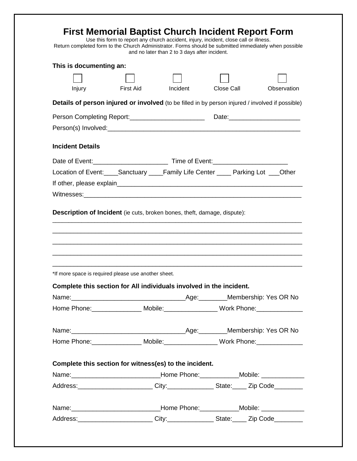| Return completed form to the Church Administrator. Forms should be submitted immediately when possible<br>This is documenting an:                                                 | Use this form to report any church accident, injury, incident, close call or illness. |                                               |            | <b>First Memorial Baptist Church Incident Report Form</b> |
|-----------------------------------------------------------------------------------------------------------------------------------------------------------------------------------|---------------------------------------------------------------------------------------|-----------------------------------------------|------------|-----------------------------------------------------------|
|                                                                                                                                                                                   |                                                                                       | and no later than 2 to 3 days after incident. |            |                                                           |
|                                                                                                                                                                                   |                                                                                       |                                               |            |                                                           |
| Injury                                                                                                                                                                            | First Aid                                                                             | Incident                                      | Close Call | Observation                                               |
| Details of person injured or involved (to be filled in by person injured / involved if possible)                                                                                  |                                                                                       |                                               |            |                                                           |
|                                                                                                                                                                                   | Person Completing Report:_________________________                                    |                                               |            |                                                           |
|                                                                                                                                                                                   |                                                                                       |                                               |            |                                                           |
| <b>Incident Details</b>                                                                                                                                                           |                                                                                       |                                               |            |                                                           |
|                                                                                                                                                                                   |                                                                                       |                                               |            |                                                           |
| Location of Event:_____Sanctuary ____Family Life Center _____ Parking Lot ___Other                                                                                                |                                                                                       |                                               |            |                                                           |
|                                                                                                                                                                                   |                                                                                       |                                               |            |                                                           |
|                                                                                                                                                                                   |                                                                                       |                                               |            |                                                           |
|                                                                                                                                                                                   |                                                                                       |                                               |            |                                                           |
| *If more space is required please use another sheet.                                                                                                                              |                                                                                       |                                               |            |                                                           |
| Complete this section for All individuals involved in the incident.                                                                                                               |                                                                                       |                                               |            |                                                           |
|                                                                                                                                                                                   |                                                                                       |                                               |            |                                                           |
| Home Phone: _________________ Mobile: ___________________ Work Phone: _______________                                                                                             |                                                                                       |                                               |            |                                                           |
|                                                                                                                                                                                   |                                                                                       |                                               |            |                                                           |
| Home Phone: _________________ Mobile: ___________________ Work Phone: _______________                                                                                             |                                                                                       |                                               |            |                                                           |
|                                                                                                                                                                                   |                                                                                       |                                               |            |                                                           |
| Complete this section for witness(es) to the incident.                                                                                                                            |                                                                                       |                                               |            |                                                           |
| Name: __________________________________Home Phone: ______________Mobile: _____________<br>Address: _________________________City:_________________State: _____ Zip Code_________ |                                                                                       |                                               |            |                                                           |
| Name: _________________________________Home Phone: ______________Mobile: ______________                                                                                           |                                                                                       |                                               |            |                                                           |